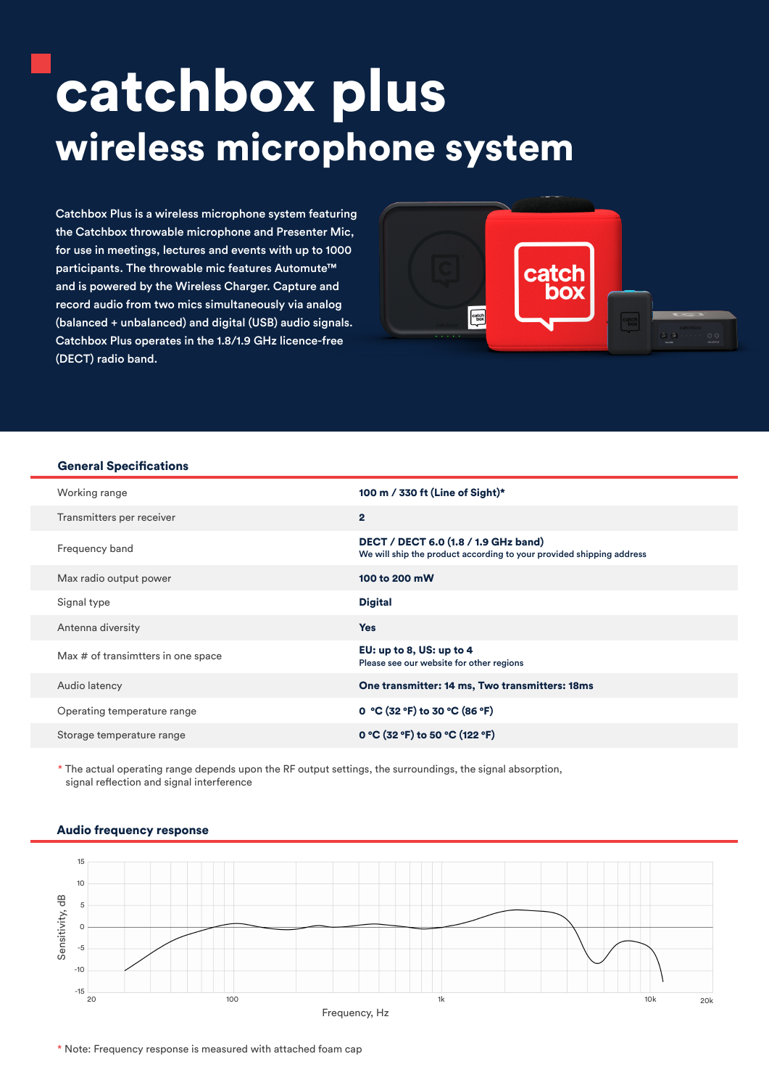# catchbox plus wireless microphone system

Catchbox Plus is a wireless microphone system featuring the Catchbox throwable microphone and Presenter Mic, for use in meetings, lectures and events with up to 1000 participants. The throwable mic features Automute<sup>™</sup> and is powered by the Wireless Charger. Capture and record audio from two mics simultaneously via analog (balanced + unbalanced) and digital (USB) audio signals. Catchbox Plus operates in the 1.8/1.9 GHz licence-free (DECT) radio band.



#### General Specifications

| Working range                      | 100 m / 330 ft (Line of Sight)*                                                                              |
|------------------------------------|--------------------------------------------------------------------------------------------------------------|
| Transmitters per receiver          | $\overline{2}$                                                                                               |
| Frequency band                     | DECT / DECT 6.0 (1.8 / 1.9 GHz band)<br>We will ship the product according to your provided shipping address |
| Max radio output power             | 100 to 200 mW                                                                                                |
| Signal type                        | <b>Digital</b>                                                                                               |
| Antenna diversity                  | <b>Yes</b>                                                                                                   |
| Max # of transimtters in one space | EU: up to 8, US: up to 4<br>Please see our website for other regions                                         |
| Audio latency                      | One transmitter: 14 ms, Two transmitters: 18ms                                                               |
| Operating temperature range        | 0 °C (32 °F) to 30 °C (86 °F)                                                                                |
| Storage temperature range          | 0 °C (32 °F) to 50 °C (122 °F)                                                                               |

\* The actual operating range depends upon the RF output settings, the surroundings, the signal absorption, signal reflection and signal interference



#### Audio frequency response

\* Note: Frequency response is measured with attached foam cap